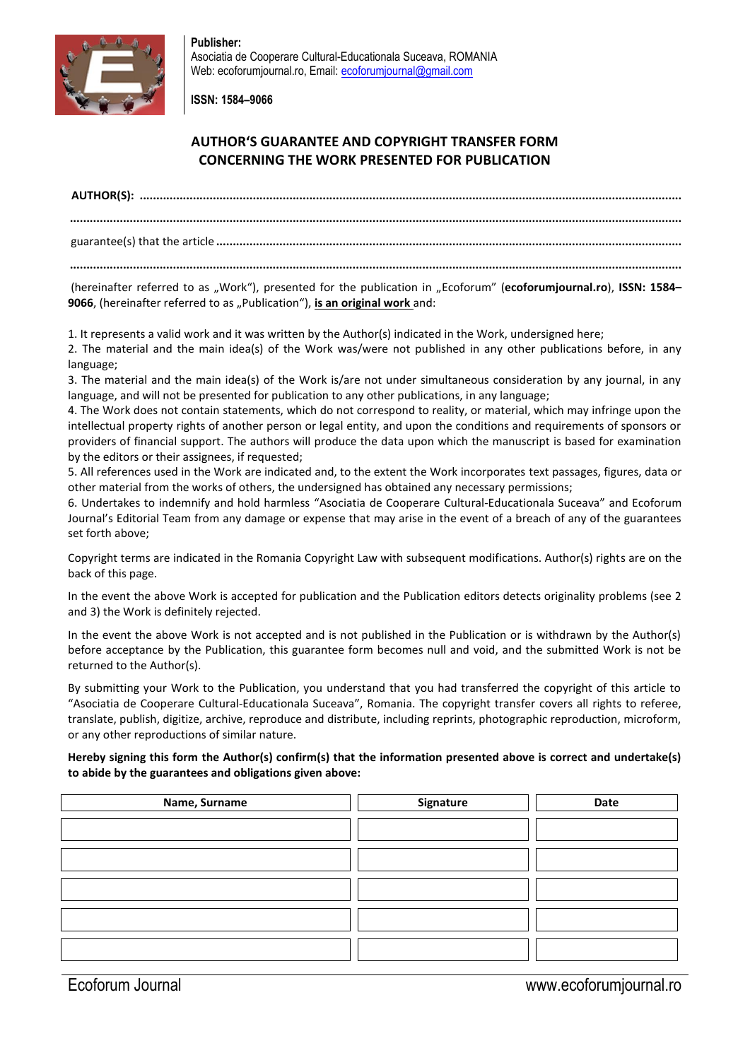

**Publisher:**  Asociatia de Cooperare Cultural-Educationala Suceava, ROMANIA Web: ecoforumjournal.ro, Email: [ecoforumjournal@gmail.com](mailto:ecoforumjournal@gmail.com)

**ISSN: 1584–9066**

# **AUTHOR'S GUARANTEE AND COPYRIGHT TRANSFER FORM CONCERNING THE WORK PRESENTED FOR PUBLICATION**

**AUTHOR(S): ...................................................................................................................................................................**

**........................................................................................................................................................................................**

guarantee(s) that the article **............................................................................................................................................**

**........................................................................................................................................................................................**

(hereinafter referred to as "Work"), presented for the publication in "Ecoforum" (ecoforumjournal.ro), ISSN: 1584-**9066**, (hereinafter referred to as "Publication"), is an original work and:

1. It represents a valid work and it was written by the Author(s) indicated in the Work, undersigned here;

2. The material and the main idea(s) of the Work was/were not published in any other publications before, in any language;

3. The material and the main idea(s) of the Work is/are not under simultaneous consideration by any journal, in any language, and will not be presented for publication to any other publications, in any language;

4. The Work does not contain statements, which do not correspond to reality, or material, which may infringe upon the intellectual property rights of another person or legal entity, and upon the conditions and requirements of sponsors or providers of financial support. The authors will produce the data upon which the manuscript is based for examination by the editors or their assignees, if requested;

5. All references used in the Work are indicated and, to the extent the Work incorporates text passages, figures, data or other material from the works of others, the undersigned has obtained any necessary permissions;

6. Undertakes to indemnify and hold harmless "Asociatia de Cooperare Cultural-Educationala Suceava" and Ecoforum Journal's Editorial Team from any damage or expense that may arise in the event of a breach of any of the guarantees set forth above;

Copyright terms are indicated in the Romania Copyright Law with subsequent modifications. Author(s) rights are on the back of this page.

In the event the above Work is accepted for publication and the Publication editors detects originality problems (see 2 and 3) the Work is definitely rejected.

In the event the above Work is not accepted and is not published in the Publication or is withdrawn by the Author(s) before acceptance by the Publication, this guarantee form becomes null and void, and the submitted Work is not be returned to the Author(s).

By submitting your Work to the Publication, you understand that you had transferred the copyright of this article to "Asociatia de Cooperare Cultural-Educationala Suceava", Romania. The copyright transfer covers all rights to referee, translate, publish, digitize, archive, reproduce and distribute, including reprints, photographic reproduction, microform, or any other reproductions of similar nature.

### **Hereby signing this form the Author(s) confirm(s) that the information presented above is correct and undertake(s) to abide by the guarantees and obligations given above:**

| Name, Surname | Signature | Date |
|---------------|-----------|------|
|               |           |      |
|               |           |      |
|               |           |      |
|               |           |      |
|               |           |      |
|               |           |      |
|               |           |      |
|               |           |      |
|               |           |      |